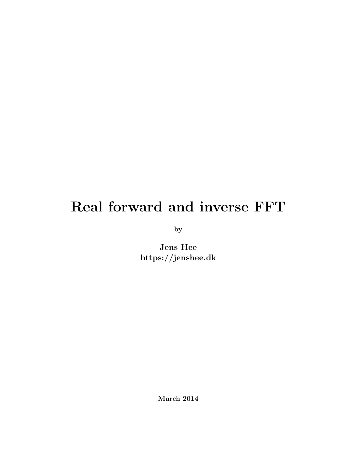## Real forward and inverse FFT

by

Jens Hee https://jenshee.dk

March 2014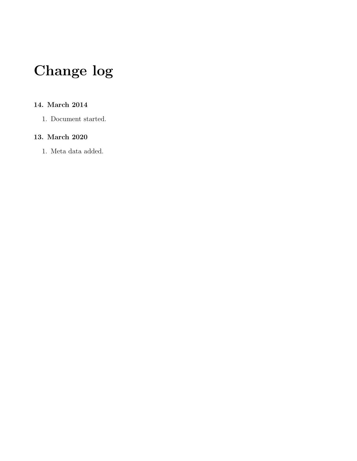# Change log

#### 14. March 2014

1. Document started.

#### 13. March 2020

1. Meta data added.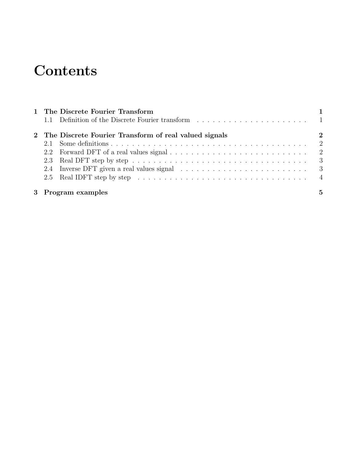### **Contents**

| 1 The Discrete Fourier Transform                        |                  |
|---------------------------------------------------------|------------------|
|                                                         |                  |
| 2 The Discrete Fourier Transform of real valued signals | $\boldsymbol{2}$ |
|                                                         |                  |
|                                                         |                  |
|                                                         |                  |
|                                                         |                  |
|                                                         |                  |
| 3 Program examples                                      | 5                |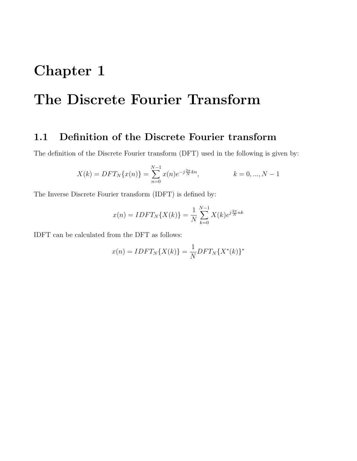# <span id="page-3-0"></span>Chapter 1 The Discrete Fourier Transform

### <span id="page-3-1"></span>1.1 Definition of the Discrete Fourier transform

The definition of the Discrete Fourier transform (DFT) used in the following is given by:

$$
X(k) = DFT_N\{x(n)\} = \sum_{n=0}^{N-1} x(n)e^{-j\frac{2\pi}{N}kn}, \qquad k = 0, ..., N-1
$$

The Inverse Discrete Fourier transform (IDFT) is defined by:

$$
x(n) = IDFT_N\{X(k)\} = \frac{1}{N} \sum_{k=0}^{N-1} X(k)e^{j\frac{2\pi}{N}nk}
$$

IDFT can be calculated from the DFT as follows:

$$
x(n) = IDFT_N\{X(k)\} = \frac{1}{N}DFT_N\{X^*(k)\}^*
$$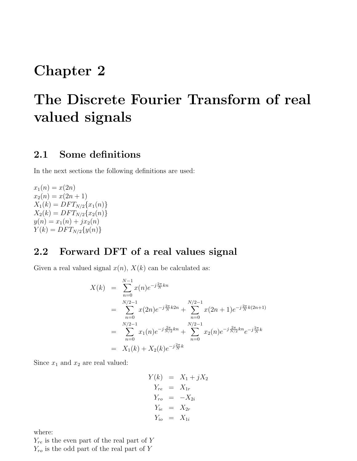### <span id="page-4-0"></span>Chapter 2

# The Discrete Fourier Transform of real valued signals

#### <span id="page-4-1"></span>2.1 Some definitions

In the next sections the following definitions are used:

 $x_1(n) = x(2n)$  $x_2(n) = x(2n + 1)$  $X_1(k) = DFT_{N/2}\lbrace x_1(n)\rbrace$  $X_2(k) = DFT_{N/2}\{x_2(n)\}$  $y(n) = x_1(n) + jx_2(n)$  $Y(k) = DFT_{N/2}{y(n)}$ 

### <span id="page-4-2"></span>2.2 Forward DFT of a real values signal

Given a real valued signal  $x(n)$ ,  $X(k)$  can be calculated as:

$$
X(k) = \sum_{n=0}^{N-1} x(n)e^{-j\frac{2\pi}{N}kn}
$$
  
\n
$$
= \sum_{n=0}^{N/2-1} x(2n)e^{-j\frac{2\pi}{N}k2n} + \sum_{n=0}^{N/2-1} x(2n+1)e^{-j\frac{2\pi}{N}k(2n+1)}
$$
  
\n
$$
= \sum_{n=0}^{N/2-1} x_1(n)e^{-j\frac{2\pi}{N/2}kn} + \sum_{n=0}^{N/2-1} x_2(n)e^{-j\frac{2\pi}{N/2}kn}e^{-j\frac{2\pi}{N}k}
$$
  
\n
$$
= X_1(k) + X_2(k)e^{-j\frac{2\pi}{N}k}
$$

Since  $x_1$  and  $x_2$  are real valued:

$$
Y(k) = X_1 + jX_2
$$
  
\n
$$
Y_{re} = X_{1r}
$$
  
\n
$$
Y_{ro} = -X_{2i}
$$
  
\n
$$
Y_{ie} = X_{2r}
$$
  
\n
$$
Y_{io} = X_{1i}
$$

where:

 $Y_{re}$  is the even part of the real part of Y

 $Y_{ro}$  is the odd part of the real part of Y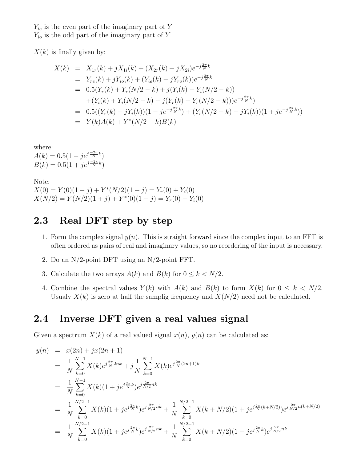$Y_{ie}$  is the even part of the imaginary part of Y  $Y_{io}$  is the odd part of the imaginary part of Y

 $X(k)$  is finally given by:

$$
X(k) = X_{1r}(k) + jX_{1i}(k) + (X_{2r}(k) + jX_{2i})e^{-j\frac{2\pi}{N}k}
$$
  
\n
$$
= Y_{re}(k) + jY_{io}(k) + (Y_{ie}(k) - jY_{ro}(k))e^{-j\frac{2\pi}{N}k}
$$
  
\n
$$
= 0.5(Y_r(k) + Y_r(N/2 - k) + j(Y_i(k) - Y_i(N/2 - k))
$$
  
\n
$$
+ (Y_i(k) + Y_i(N/2 - k) - j(Y_r(k) - Y_r(N/2 - k)))e^{-j\frac{2\pi}{N}k}
$$
  
\n
$$
= 0.5((Y_r(k) + jY_i(k))(1 - je^{-j\frac{2\pi}{N}k}) + (Y_r(N/2 - k) - jY_i(k))(1 + je^{-j\frac{2\pi}{N}k}))
$$
  
\n
$$
= Y(k)A(k) + Y^*(N/2 - k)B(k)
$$

where:

 $A(k) = 0.5(1 - je^{j\frac{-2\pi}{N}k})$  $B(k) = 0.5(1 + je^{j\frac{-2\pi}{N}k})$ 

Note:  $X(0) = Y(0)(1 - j) + Y^*(N/2)(1 + j) = Y_r(0) + Y_i(0)$  $X(N/2) = Y(N/2)(1+j) + Y^*(0)(1-j) = Y_r(0) - Y_i(0)$ 

### <span id="page-5-0"></span>2.3 Real DFT step by step

- 1. Form the complex signal  $y(n)$ . This is straight forward since the complex input to an FFT is often ordered as pairs of real and imaginary values, so no reordering of the input is necessary.
- 2. Do an N/2-point DFT using an N/2-point FFT.
- 3. Calculate the two arrays  $A(k)$  and  $B(k)$  for  $0 \leq k < N/2$ .
- 4. Combine the spectral values  $Y(k)$  with  $A(k)$  and  $B(k)$  to form  $X(k)$  for  $0 \leq k \leq N/2$ . Usualy  $X(k)$  is zero at half the samplig frequency and  $X(N/2)$  need not be calculated.

### <span id="page-5-1"></span>2.4 Inverse DFT given a real values signal

Given a spectrum  $X(k)$  of a real valued signal  $x(n)$ ,  $y(n)$  can be calculated as:

$$
y(n) = x(2n) + jx(2n + 1)
$$
  
\n
$$
= \frac{1}{N} \sum_{k=0}^{N-1} X(k)e^{j\frac{2\pi}{N}2nk} + j\frac{1}{N} \sum_{k=0}^{N-1} X(k)e^{j\frac{2\pi}{N}(2n+1)k}
$$
  
\n
$$
= \frac{1}{N} \sum_{k=0}^{N-1} X(k)(1 + je^{j\frac{2\pi}{N}k})e^{j\frac{2\pi}{N/2}nk}
$$
  
\n
$$
= \frac{1}{N} \sum_{k=0}^{N/2-1} X(k)(1 + je^{j\frac{2\pi}{N}k})e^{j\frac{2\pi}{N/2}nk} + \frac{1}{N} \sum_{k=0}^{N/2-1} X(k + N/2)(1 + je^{j\frac{2\pi}{N}(k+N/2)})e^{j\frac{2\pi}{N/2}n(k+N/2)}
$$
  
\n
$$
= \frac{1}{N} \sum_{k=0}^{N/2-1} X(k)(1 + je^{j\frac{2\pi}{N}k})e^{j\frac{2\pi}{N/2}nk} + \frac{1}{N} \sum_{k=0}^{N/2-1} X(k + N/2)(1 - je^{j\frac{2\pi}{N}k})e^{j\frac{2\pi}{N/2}nk}
$$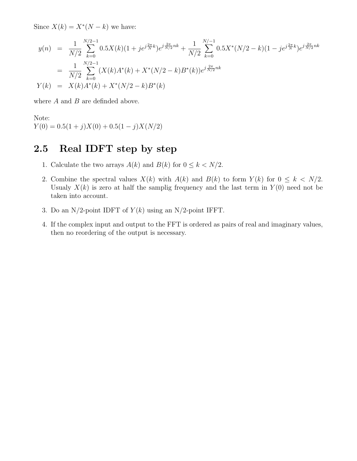Since  $X(k) = X^*(N - k)$  we have:

$$
y(n) = \frac{1}{N/2} \sum_{k=0}^{N/2-1} 0.5X(k)(1+j e^{j\frac{2\pi}{N}k}) e^{j\frac{2\pi}{N/2}nk} + \frac{1}{N/2} \sum_{k=0}^{N/ -1} 0.5X^*(N/2-k)(1-j e^{j\frac{2\pi}{N}k}) e^{j\frac{2\pi}{N/2}nk}
$$
  

$$
= \frac{1}{N/2} \sum_{k=0}^{N/2-1} (X(k)A^*(k) + X^*(N/2-k)B^*(k)) e^{j\frac{2\pi}{N/2}nk}
$$
  

$$
Y(k) = X(k)A^*(k) + X^*(N/2-k)B^*(k)
$$

where  $A$  and  $B$  are definded above.

Note:  $Y(0) = 0.5(1+j)X(0) + 0.5(1-j)X(N/2)$ 

### <span id="page-6-0"></span>2.5 Real IDFT step by step

- 1. Calculate the two arrays  $A(k)$  and  $B(k)$  for  $0 \leq k < N/2$ .
- 2. Combine the spectral values  $X(k)$  with  $A(k)$  and  $B(k)$  to form  $Y(k)$  for  $0 \leq k \leq N/2$ . Usualy  $X(k)$  is zero at half the samplig frequency and the last term in  $Y(0)$  need not be taken into account.
- 3. Do an N/2-point IDFT of  $Y(k)$  using an N/2-point IFFT.
- 4. If the complex input and output to the FFT is ordered as pairs of real and imaginary values, then no reordering of the output is necessary.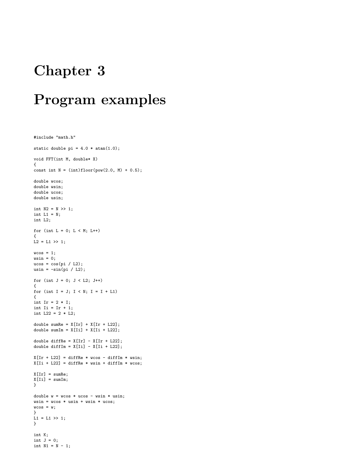### <span id="page-7-0"></span>Chapter 3

### Program examples

```
#include "math.h"
static double pi = 4.0 * \text{atan}(1.0);
void FFT(int M, double* X)
{
const int N = (int)floor(pow(2.0, M) + 0.5);double wcos;
double wsin;
double ucos;
double usin;
int N2 = N \gg 1;
int L1 = N;
int L2;
for (int L = 0; L < M; L++)
{
L2 = L1 \gg 1;wcos = 1;wsin = 0;
ucos = cos(pi / L2);usin = -sin(pi / L2);
for (int J = 0; J < L2; J++){
for (int I = J; I \lt N; I = I + L1)
{
int Ir = 2 * I;int I_i = Ir + 1;int L22 = 2 * L2;
double sumRe = X[Ir] + X[Ir + L22];
double sumIm = X[Ii] + X[Ii + L22];
double diffRe = X[Ir] - X[Ir + L22];double diffIm = X[Ii] - X[Ii + L22];
X[Ir + L22] = diffRe * wcos - diffIm * wsin;X[Ii + L22] = diffRe * wsin + diffIm * wcos;X[Ir] = sumRe;X[Ii] = sumIm;}
double w = w \cos * u \cos - w \sin * u \sin;wsin = wcos * usin + wsin * ucos;wcos = w;}
L1 = L1 \gg 1;
}
int K;
int J = 0;
int N1 = N - 1;
```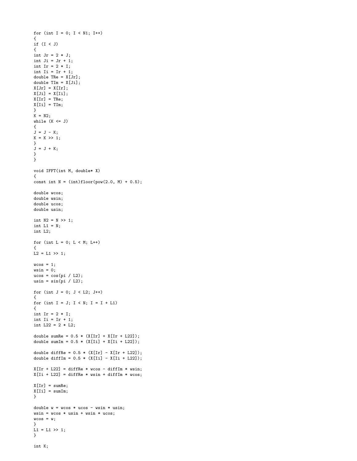```
for (int I = 0; I < N1; I^{++})
{
if (I < J){
int Jr = 2 * J;int Ji = Jr + 1;
int Ir = 2 * I;int Ii = Ir + 1;
double \text{The} = X[Jr];double TIm = X[Ji];
X[Jr] = X[Ir];X[Ji] = X[Ii];X[Ir] = The;X[Ii] = TIm;}
K = N2;while (K \leq J){
J = J - K;K = K >> 1;}
J = J + K;}
}
void IFFT(int M, double* X)
{
const int N = (int)floor(pow(2.0, M) + 0.5);double wcos;
double wsin;
double ucos;
double usin;
int N2 = N \gg 1;
int L1 = N;
int L2;
for (int L = 0; L < M; L++)
{
L2 = L1 \gg 1;vcos = 1;wsin = 0;ucos = cos(pi / L2);usin = sin(pi / L2);
for (int J = 0; J < L2; J^{++})
{
for (int I = J; I \lt N; I = I + L1)
{
int Ir = 2 * I;int I_i = Ir + 1;int L22 = 2 * L2;
double sumRe = 0.5 * (X[Ir] + X[Ir + L22]);double sumIm = 0.5 * (X[Ii] + X[Ii + L22]);double diffRe = 0.5 * (X[Ir] - X[Ir + L22]);double diffIm = 0.5 * (X[Ii] - X[Ii + L22]);X[Ir + L22] = diffRe * wcos - diffIm * wsin;X[Ii + L22] = diffRe * wsin + diffIm * wcos;X[Ir] = sumRe;X[Ii] = sumIm;}
double w = w \cos * u \cos - w \sin * u \sin;wsin = wcos * usin + wsin * ucos;vcos = w;}
L1 = L1 >> 1;}
```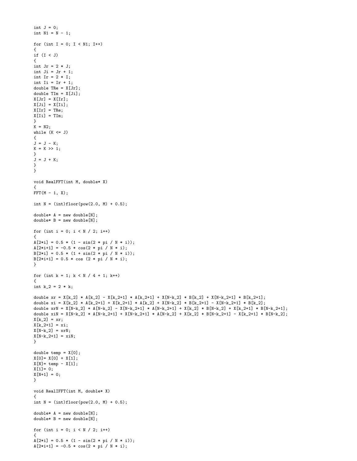```
int J = 0;
int N1 = N - 1;
for (int I = 0; I < N1; I^{++})
{
if (I < J)
{
int Jr = 2 * J;int Ji = Jr + 1;int Ir = 2 * I;int Ii = Ir + 1;
double TRe = X[Jr];
double TIm = X[Ji];X[Jr] = X[Ir];X[Ji] = X[Ii];X[Ir] = The;X[Ii] = TIm;}
K = N2:
while (K \leq J){
J = J - K;K = K >> 1;}
J = J + K;
}
}
void RealFFT(int M, double* X)
\overline{1}FFT(M - 1, X);int N = (int) floor(pow(2.0, M) + 0.5);
double* A = new double[N];
double* B = new double[N];for (int i = 0; i < N / 2; i++){
A[2*1] = 0.5 * (1 - sin(2 * pi / N * i));A[2*1+1] = -0.5 * cos(2 * pi / N * i);B[2*1] = 0.5 * (1 + sin(2 * pi / N * i));B[2*i+1] = 0.5 * cos (2 * pi / N * i);}
for (int k = 1; k < N / 4 + 1; k++){
int k_2 = 2 * k;
double xr = X[k_2] * A[k_2] - X[k_2+1] * A[k_2+1] + X[N-k_2] * B[k_2] + X[N-k_2+1] * B[k_2+1];double xi = X[k_2] * A[k_2+1] + X[k_2+1] * A[k_2] + X[N-k_2] * B[k_2+1] - X[N-k_2+1] * B[k_2];
double xrN = X[N-k_2] * A[N-k_2] - X[N-k_2+1] * A[N-k_2+1] + X[k_2] * B[N-k_2] + X[k_2+1] * B[N-k_2+1];
double xiN = X[N-k_2] * A[N-k_2+1] + X[N-k_2+1] * A[N-k_2] + X[k_2] * B[N-k_2+1] - X[k_2+1] * B[N-k_2];
X[k_2] = xr;X[k_2+1] = xi;X[N-k_2] = xrN;X[N-k_2+1] = xiN;}
double temp = X[0];
X[0] = X[0] + X[1];X[N] = temp - X[1];X[1] = 0;X[N+1] = 0;}
void RealIFFT(int M, double* X)
{
int N = (int) floor(pow(2.0, M) + 0.5);double* A = new double[N];double* B = new double[N];
for (int i = 0; i < N / 2; i++){
A[2*1] = 0.5 * (1 - sin(2 * pi / N * i));A[2*1+1] = -0.5 * cos(2 * pi / N * i);
```